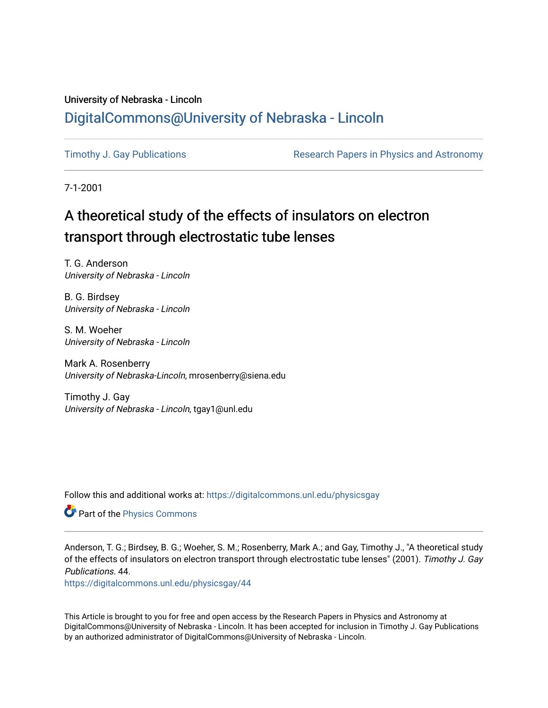## University of Nebraska - Lincoln [DigitalCommons@University of Nebraska - Lincoln](https://digitalcommons.unl.edu/)

[Timothy J. Gay Publications](https://digitalcommons.unl.edu/physicsgay) **Research Papers in Physics and Astronomy** 

7-1-2001

# A theoretical study of the effects of insulators on electron transport through electrostatic tube lenses

T. G. Anderson University of Nebraska - Lincoln

B. G. Birdsey University of Nebraska - Lincoln

S. M. Woeher University of Nebraska - Lincoln

Mark A. Rosenberry University of Nebraska-Lincoln, mrosenberry@siena.edu

Timothy J. Gay University of Nebraska - Lincoln, tgay1@unl.edu

Follow this and additional works at: [https://digitalcommons.unl.edu/physicsgay](https://digitalcommons.unl.edu/physicsgay?utm_source=digitalcommons.unl.edu%2Fphysicsgay%2F44&utm_medium=PDF&utm_campaign=PDFCoverPages)

Part of the [Physics Commons](http://network.bepress.com/hgg/discipline/193?utm_source=digitalcommons.unl.edu%2Fphysicsgay%2F44&utm_medium=PDF&utm_campaign=PDFCoverPages)

Anderson, T. G.; Birdsey, B. G.; Woeher, S. M.; Rosenberry, Mark A.; and Gay, Timothy J., "A theoretical study of the effects of insulators on electron transport through electrostatic tube lenses" (2001). Timothy J. Gay Publications. 44.

[https://digitalcommons.unl.edu/physicsgay/44](https://digitalcommons.unl.edu/physicsgay/44?utm_source=digitalcommons.unl.edu%2Fphysicsgay%2F44&utm_medium=PDF&utm_campaign=PDFCoverPages) 

This Article is brought to you for free and open access by the Research Papers in Physics and Astronomy at DigitalCommons@University of Nebraska - Lincoln. It has been accepted for inclusion in Timothy J. Gay Publications by an authorized administrator of DigitalCommons@University of Nebraska - Lincoln.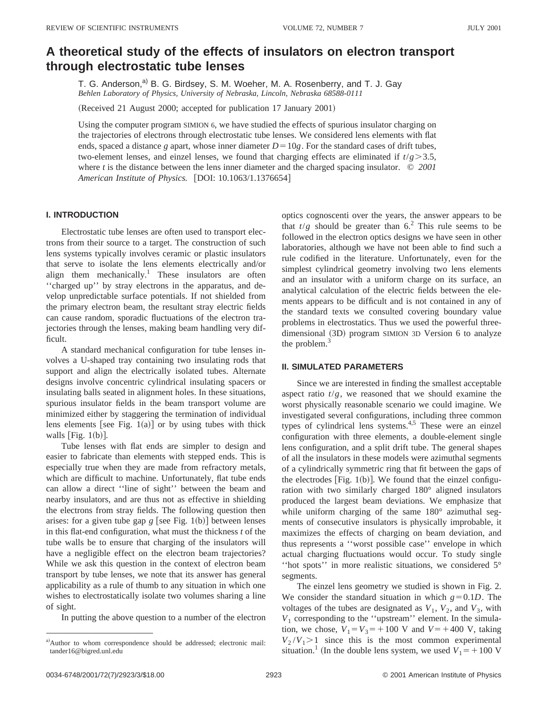### **A theoretical study of the effects of insulators on electron transport through electrostatic tube lenses**

T. G. Anderson,<sup>a)</sup> B. G. Birdsey, S. M. Woeher, M. A. Rosenberry, and T. J. Gay *Behlen Laboratory of Physics, University of Nebraska, Lincoln, Nebraska 68588-0111*

(Received 21 August 2000; accepted for publication 17 January 2001)

Using the computer program SIMION 6, we have studied the effects of spurious insulator charging on the trajectories of electrons through electrostatic tube lenses. We considered lens elements with flat ends, spaced a distance *g* apart, whose inner diameter  $D=10g$ . For the standard cases of drift tubes, two-element lenses, and einzel lenses, we found that charging effects are eliminated if  $t/g > 3.5$ , where *t* is the distance between the lens inner diameter and the charged spacing insulator. © *2001 American Institute of Physics.* [DOI: 10.1063/1.1376654]

#### **I. INTRODUCTION**

Electrostatic tube lenses are often used to transport electrons from their source to a target. The construction of such lens systems typically involves ceramic or plastic insulators that serve to isolate the lens elements electrically and/or align them mechanically.<sup>1</sup> These insulators are often ''charged up'' by stray electrons in the apparatus, and develop unpredictable surface potentials. If not shielded from the primary electron beam, the resultant stray electric fields can cause random, sporadic fluctuations of the electron trajectories through the lenses, making beam handling very difficult.

A standard mechanical configuration for tube lenses involves a U-shaped tray containing two insulating rods that support and align the electrically isolated tubes. Alternate designs involve concentric cylindrical insulating spacers or insulating balls seated in alignment holes. In these situations, spurious insulator fields in the beam transport volume are minimized either by staggering the termination of individual lens elements [see Fig.  $1(a)$ ] or by using tubes with thick walls  $[Fig. 1(b)].$ 

Tube lenses with flat ends are simpler to design and easier to fabricate than elements with stepped ends. This is especially true when they are made from refractory metals, which are difficult to machine. Unfortunately, flat tube ends can allow a direct ''line of sight'' between the beam and nearby insulators, and are thus not as effective in shielding the electrons from stray fields. The following question then arises: for a given tube gap  $g$  [see Fig. 1(b)] between lenses in this flat-end configuration, what must the thickness *t* of the tube walls be to ensure that charging of the insulators will have a negligible effect on the electron beam trajectories? While we ask this question in the context of electron beam transport by tube lenses, we note that its answer has general applicability as a rule of thumb to any situation in which one wishes to electrostatically isolate two volumes sharing a line of sight.

In putting the above question to a number of the electron

optics cognoscenti over the years, the answer appears to be that  $t/g$  should be greater than  $6<sup>2</sup>$ . This rule seems to be followed in the electron optics designs we have seen in other laboratories, although we have not been able to find such a rule codified in the literature. Unfortunately, even for the simplest cylindrical geometry involving two lens elements and an insulator with a uniform charge on its surface, an analytical calculation of the electric fields between the elements appears to be difficult and is not contained in any of the standard texts we consulted covering boundary value problems in electrostatics. Thus we used the powerful threedimensional  $(3D)$  program SIMION 3D Version 6 to analyze the problem.<sup>3</sup>

#### **II. SIMULATED PARAMETERS**

Since we are interested in finding the smallest acceptable aspect ratio  $t/g$ , we reasoned that we should examine the worst physically reasonable scenario we could imagine. We investigated several configurations, including three common types of cylindrical lens systems.<sup>4,5</sup> These were an einzel configuration with three elements, a double-element single lens configuration, and a split drift tube. The general shapes of all the insulators in these models were azimuthal segments of a cylindrically symmetric ring that fit between the gaps of the electrodes [Fig. 1(b)]. We found that the einzel configuration with two similarly charged 180° aligned insulators produced the largest beam deviations. We emphasize that while uniform charging of the same 180° azimuthal segments of consecutive insulators is physically improbable, it maximizes the effects of charging on beam deviation, and thus represents a ''worst possible case'' envelope in which actual charging fluctuations would occur. To study single ''hot spots'' in more realistic situations, we considered 5° segments.

The einzel lens geometry we studied is shown in Fig. 2. We consider the standard situation in which  $g=0.1D$ . The voltages of the tubes are designated as  $V_1$ ,  $V_2$ , and  $V_3$ , with  $V_1$  corresponding to the "upstream" element. In the simulation, we chose,  $V_1 = V_3 = +100$  V and  $V = +400$  V, taking  $V_2 / V_1 > 1$  since this is the most common experimental situation.<sup>1</sup> (In the double lens system, we used  $V_1 = +100$  V

a)Author to whom correspondence should be addressed; electronic mail: tander16@bigred.unl.edu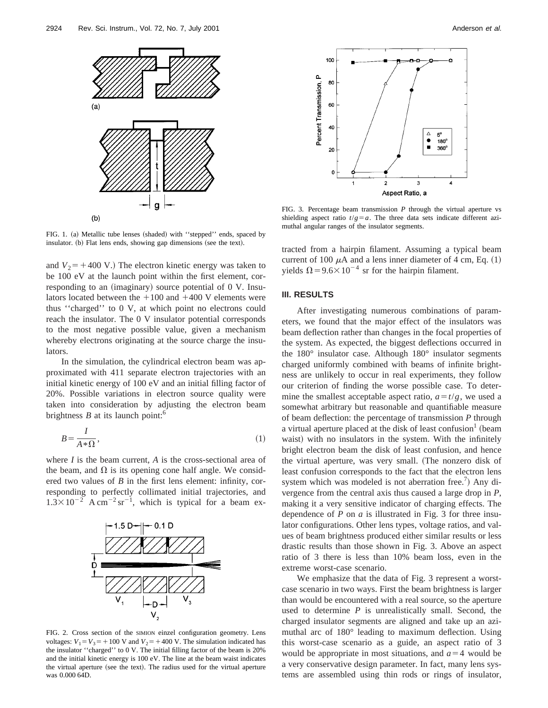

FIG. 1. (a) Metallic tube lenses (shaded) with "stepped" ends, spaced by insulator. (b) Flat lens ends, showing gap dimensions (see the text).

and  $V_2$ = +400 V.) The electron kinetic energy was taken to be 100 eV at the launch point within the first element, corresponding to an  $(imaginary)$  source potential of 0 V. Insulators located between the  $+100$  and  $+400$  V elements were thus ''charged'' to 0 V, at which point no electrons could reach the insulator. The 0 V insulator potential corresponds to the most negative possible value, given a mechanism whereby electrons originating at the source charge the insulators.

In the simulation, the cylindrical electron beam was approximated with 411 separate electron trajectories with an initial kinetic energy of 100 eV and an initial filling factor of 20%. Possible variations in electron source quality were taken into consideration by adjusting the electron beam brightness  $B$  at its launch point:<sup>6</sup>

$$
B = \frac{I}{A \ast \Omega},\tag{1}
$$

where *I* is the beam current, *A* is the cross-sectional area of the beam, and  $\Omega$  is its opening cone half angle. We considered two values of *B* in the first lens element: infinity, corresponding to perfectly collimated initial trajectories, and  $1.3 \times 10^{-2}$  A cm<sup>-2</sup> sr<sup>-1</sup>, which is typical for a beam ex-



FIG. 2. Cross section of the SIMION einzel configuration geometry. Lens voltages:  $V_1 = V_3 = +100$  V and  $V_2 = +400$  V. The simulation indicated has the insulator ''charged'' to 0 V. The initial filling factor of the beam is 20% and the initial kinetic energy is 100 eV. The line at the beam waist indicates the virtual aperture (see the text). The radius used for the virtual aperture was 0.000 64D.



FIG. 3. Percentage beam transmission *P* through the virtual aperture vs shielding aspect ratio  $t/g = a$ . The three data sets indicate different azimuthal angular ranges of the insulator segments.

tracted from a hairpin filament. Assuming a typical beam current of 100  $\mu$ A and a lens inner diameter of 4 cm, Eq. (1) yields  $\Omega = 9.6 \times 10^{-4}$  sr for the hairpin filament.

#### **III. RESULTS**

After investigating numerous combinations of parameters, we found that the major effect of the insulators was beam deflection rather than changes in the focal properties of the system. As expected, the biggest deflections occurred in the 180° insulator case. Although 180° insulator segments charged uniformly combined with beams of infinite brightness are unlikely to occur in real experiments, they follow our criterion of finding the worse possible case. To determine the smallest acceptable aspect ratio,  $a = t/g$ , we used a somewhat arbitrary but reasonable and quantifiable measure of beam deflection: the percentage of transmission *P* through a virtual aperture placed at the disk of least confusion  $\ell$  (beam waist) with no insulators in the system. With the infinitely bright electron beam the disk of least confusion, and hence the virtual aperture, was very small. (The nonzero disk of least confusion corresponds to the fact that the electron lens system which was modeled is not aberration free.<sup>7</sup>) Any divergence from the central axis thus caused a large drop in *P*, making it a very sensitive indicator of charging effects. The dependence of *P* on *a* is illustrated in Fig. 3 for three insulator configurations. Other lens types, voltage ratios, and values of beam brightness produced either similar results or less drastic results than those shown in Fig. 3. Above an aspect ratio of 3 there is less than 10% beam loss, even in the extreme worst-case scenario.

We emphasize that the data of Fig. 3 represent a worstcase scenario in two ways. First the beam brightness is larger than would be encountered with a real source, so the aperture used to determine *P* is unrealistically small. Second, the charged insulator segments are aligned and take up an azimuthal arc of 180° leading to maximum deflection. Using this worst-case scenario as a guide, an aspect ratio of 3 would be appropriate in most situations, and  $a=4$  would be a very conservative design parameter. In fact, many lens systems are assembled using thin rods or rings of insulator,